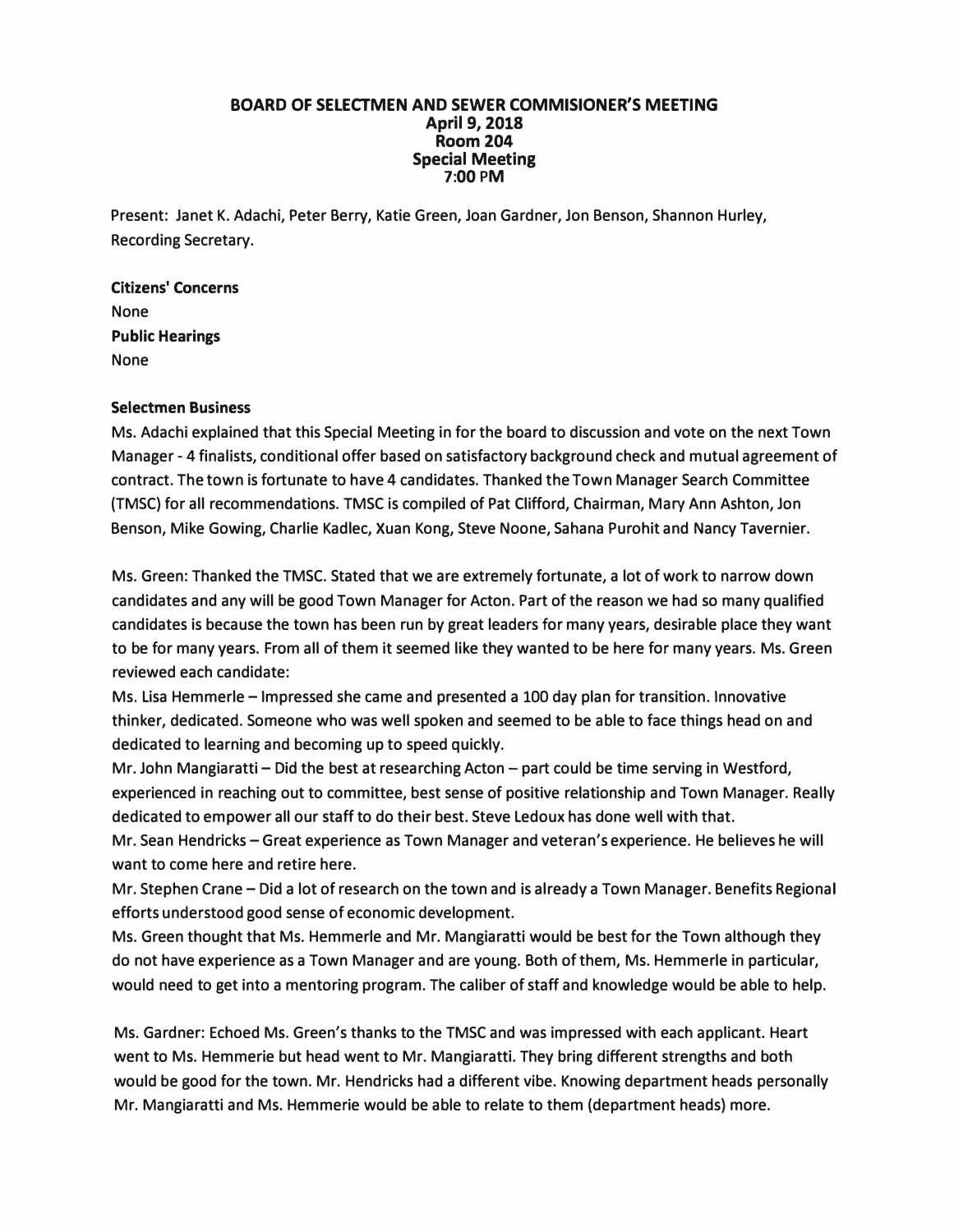## **BOARD OF SELECTMEN AND SEWER COMMISIONER'S MEETING April 9, 2018 Room 204 Special Meeting 7:00 PM**

**Present: Janet K. Adachi, Peter Berry, Katie Green, Joan Gardner, Jon Benson, Shannon Hurley, Recording Secretary.** 

**Citizens' Concerns None Public Hearings None** 

## **Selectmen Business**

**Ms. Adachi explained that this Special Meeting in for the board to discussion and vote on the next Town Manager - 4 finalists, conditional offer based on satisfactory background check and mutual agreement of contract. The town is fortunate to have 4 candidates. Thanked the Town Manager Search Committee (TMSC) for all recommendations. TMSC is compiled of Pat Clifford, Chairman, Mary Ann Ashton, Jon Benson, Mike Gowing, Charlie Kadlec, Xuan Kong, Steve Noone, Sahana Purohit and Nancy Tavernier.** 

**Ms. Green: Thanked the TMSC. Stated that we are extremely fortunate, a lot of work to narrow down candidates and any will be good Town Manager for Acton. Part of the reason we had so many qualified candidates is because the town has been run by great leaders for many years, desirable place they want to be for many years. From all of them it seemed like they wanted to be here for many years. Ms. Green reviewed each candidate:** 

**Ms. Lisa Hemmerle - Impressed she came and presented a 100 day plan for transition. Innovative thinker, dedicated. Someone who was well spoken and seemed to be able to face things head on and dedicated to learning and becoming up to speed quickly.** 

**Mr. John Mangiaratti - Did the best at researching Acton - part could be time serving in Westford, experienced in reaching out to committee, best sense of positive relationship and Town Manager. Really dedicated to empower all our staff to do their best. Steve Ledoux has done well with that.** 

**Mr. Sean Hendricks - Great experience as Town Manager and veteran's experience. He believes he will want to come here and retire here.** 

**Mr. Stephen Crane - Did a lot of research on the town and is already a Town Manager. Benefits Regional efforts understood good sense of economic development.** 

**Ms. Green thought that Ms. Hemmerle and Mr. Mangiaratti would be best for the Town although they do not have experience as a Town Manager and are young. Both of them, Ms. Hemmerle in particular, would need to get into a mentoring program. The caliber of staff and knowledge would be able to help.** 

**Ms. Gardner: Echoed Ms. Green's thanks to the TMSC and was impressed with each applicant. Heart went to Ms. Hemmerie but head went to Mr. Mangiaratti. They bring different strengths and both would be good for the town. Mr. Hendricks had a different vibe. Knowing department heads personally Mr. Mangiaratti and Ms. Hemmerie would be able to relate to them (department heads) more.**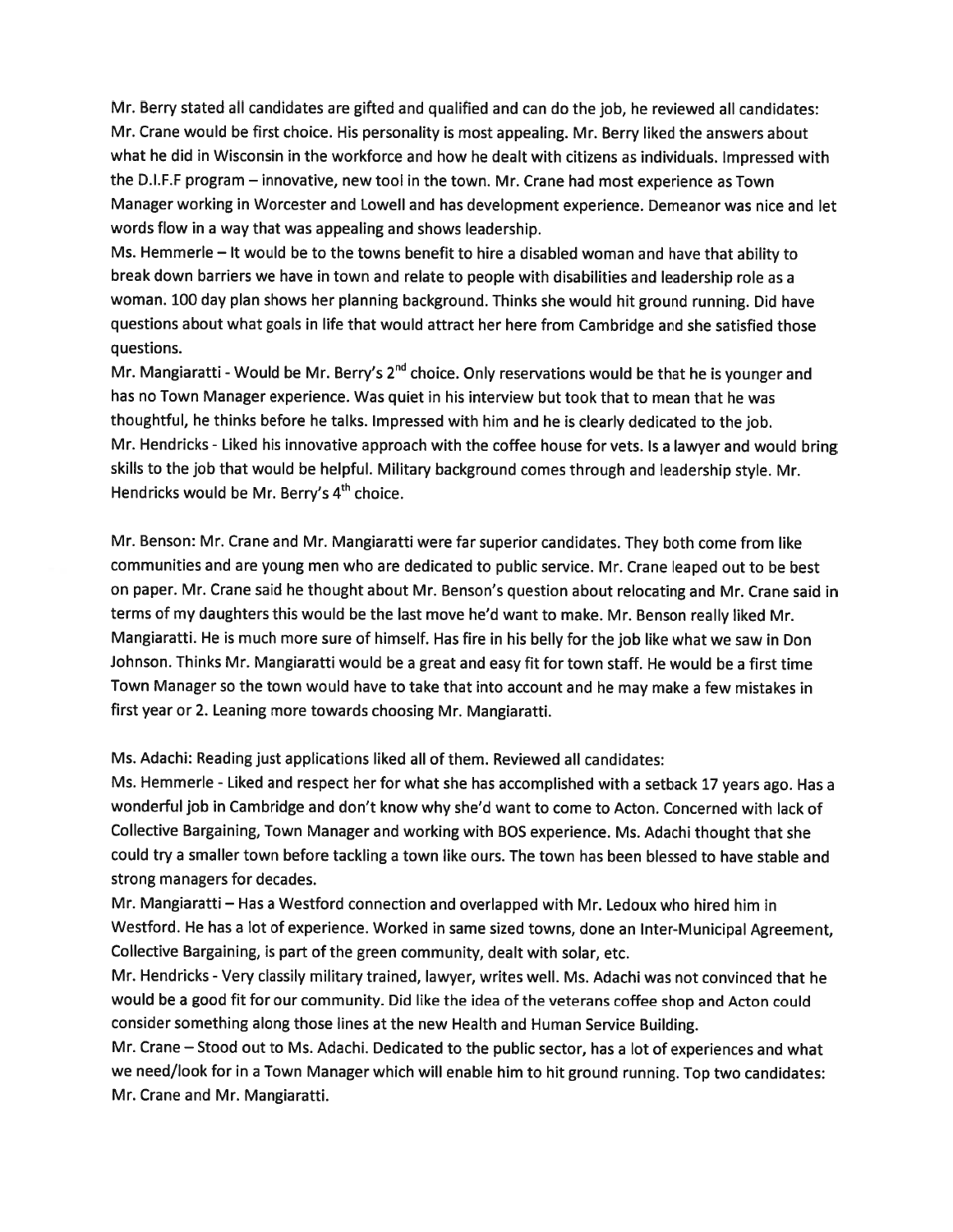Mr. Berry stated all candidates are <sup>g</sup>ifted and qualified and can do the job, he reviewed all candidates: Mr. Crane would be first choice. His personality is most appealing. Mr. Berry liked the answers about what he did in Wisconsin in the workforce and how he dealt with citizens as individuals. Impressed with the D.I.F.F program — innovative, new tool in the town. Mr. Crane had most experience as Town Manager working in Worcester and Lowell and has development experience. Demeanor was nice and let words flow in <sup>a</sup> way that was appealing and shows leadership.

Ms. Hemmerle — It would be to the towns benefit to hire <sup>a</sup> disabled woman and have that ability to break down barriers we have in town and relate to people with disabilities and leadership role as <sup>a</sup> woman. <sup>100</sup> day <sup>p</sup>lan shows her <sup>p</sup>lanning background. Thinks she would hit groun<sup>d</sup> running. Did have questions about what goals in life that would attract her here from Cambridge and she satisfied those questions.

Mr. Mangiaratti - Would be Mr. Berry's  $2^{nd}$  choice. Only reservations would be that he is younger and has no Town Manager experience. Was quiet in his interview but took that to mean that he was thoughtful, he thinks before he talks. Impressed with him and he is clearly dedicated to the job. Mr. Hendricks -Liked his innovative approac<sup>h</sup> with the coffee house for vets. Is <sup>a</sup> lawyer and would bring skills to the job that would be helpful. Military background comes through and leadership style. Mr. Hendricks would be Mr. Berry's  $4<sup>th</sup>$  choice.

Mr. Benson: Mr. Crane and Mr. Mangiaratti were far superior candidates. They both come from like communities and are young men who are dedicated to public service. Mr. Crane leaped out to be best on paper. Mr. Crane said he thought about Mt. Benson's question about relocating and Mr. Crane said in terms of my daughters this would be the last move he'd want to make. Mr. Benson really liked Mr. Mangiaratti. He is much more sure of himself. Has fire in his belly for the job like what we saw in Don Johnson. Thinks Mr. Mangiaratti would be <sup>a</sup> grea<sup>t</sup> and easy fit for town staff. He would be <sup>a</sup> first time Town Manager so the town would have to take that into account and he may make <sup>a</sup> few mistakes in first year or 2. Leaning more towards choosing Mr. Mangiaratti.

Ms. Adachi: Reading just applications liked all of them. Reviewed all candidates:

Ms. Hemmerle - Liked and respec<sup>t</sup> her for what she has accomplished with <sup>a</sup> setback <sup>17</sup> years ago. Has <sup>a</sup> wonderful job in Cambridge and don't know why she'd want to come to Acton. Concerned with lack of Collective Bargaining, Town Manager and working with BOS experience. Ms. Adachi thought that she could try <sup>a</sup> smaller town before tackling <sup>a</sup> town like ours. The town has been blessed to have stable and strong managers for decades.

Mr. Mangiaratti — Has <sup>a</sup> Westford connection and overlapped with Mr. Ledoux who hired him in Westford. He has <sup>a</sup> lot of experience. Worked in same sized towns, done an Inter-Municipal Agreement, Collective Bargaining, is par<sup>t</sup> of the green community, dealt with solar, etc.

Mr. Hendricks -Very classily military trained, lawyer, writes well. Ms. Adachi was not convinced that he would be <sup>a</sup> goo<sup>d</sup> fit for our community. Did like the idea of the veterans coffee shop and Acton could consider something along those lines at the new Health and Human Service Building.

Mr. Crane — Stood out to Ms. Adachi. Dedicated to the public sector, has <sup>a</sup> lot of experiences and what we need/look for in a Town Manager which will enable him to hit ground running. Top two candidates: Mr. Crane and Mr. Mangiaratti.